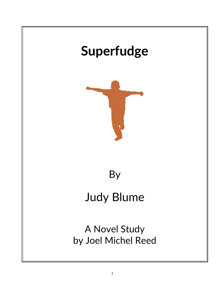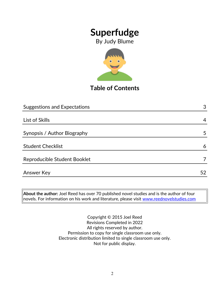By Judy Blume



### **Table of Contents**

| <b>Suggestions and Expectations</b> | 3  |
|-------------------------------------|----|
|                                     |    |
| List of Skills                      | 4  |
|                                     |    |
| Synopsis / Author Biography         | 5  |
|                                     |    |
| <b>Student Checklist</b>            | 6  |
|                                     |    |
| Reproducible Student Booklet        |    |
| <b>Answer Key</b>                   | 52 |

**About the author:** Joel Reed has over 70 published novel studies and is the author of four  $|$ novels. For information on his work and literature, please visit [www.reednovelstudies.com](http://www.reednovelstudies.com/)

> Copyright © 2015 Joel Reed Revisions Completed in 2022 All rights reserved by author. Permission to copy for single classroom use only. Electronic distribution limited to single classroom use only. Not for public display.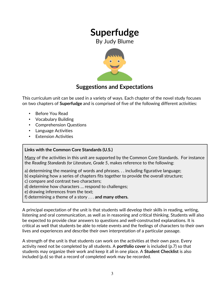By Judy Blume



### **Suggestions and Expectations**

This curriculum unit can be used in a variety of ways. Each chapter of the novel study focuses on two chapters of **Superfudge** and is comprised of five of the following different activities:

- Before You Read
- Vocabulary Building
- Comprehension Questions
- Language Activities
- **Extension Activities**

### **Links with the Common Core Standards (U.S.)**

Many of the activities in this unit are supported by the Common Core Standards. For instance the *Reading Standards for Literature, Grade 5*, makes reference to the following:

- a) determining the meaning of words and phrases. . . including figurative language;
- b) explaining how a series of chapters fits together to provide the overall structure;
- c) compare and contrast two characters;
- d) determine how characters … respond to challenges;
- e) drawing inferences from the text;
- f) determining a theme of a story . . . **and many others.**

A principal expectation of the unit is that students will develop their skills in reading, writing, listening and oral communication, as well as in reasoning and critical thinking. Students will also be expected to provide clear answers to questions and well-constructed explanations. It is critical as well that students be able to relate events and the feelings of characters to their own lives and experiences and describe their own interpretation of a particular passage.

A strength of the unit is that students can work on the activities at their own pace. Every activity need not be completed by all students. A **portfolio cover** is included (p.7) so that students may organize their work and keep it all in one place. A **Student Checklist** is also included (p.6) so that a record of completed work may be recorded.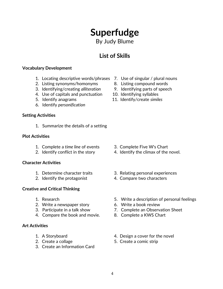By Judy Blume

## **List of Skills**

#### **Vocabulary Development**

- 1. Locating descriptive words/phrases 7. Use of singular / plural nouns
- 2. Listing synonyms/homonyms 8. Listing compound words
- 3. Identifying/creating *alliteration* 9. Identifying parts of speech
- 4. Use of capitals and punctuation 10. Identifying syllables
- 
- 6. Identify *personification*

### **Setting Activities**

1. Summarize the details of a setting

#### **Plot Activities**

- 1. Complete a *time line* of events 3. Complete Five W's Chart
- 

### **Character Activities**

- 
- 

### **Creative and Critical Thinking**

- 
- 2. Write a newspaper story 6. Write a book review
- 
- 4. Compare the book and movie. 8. Complete a KWS Chart

### **Art Activities**

- 
- 
- 3. Create an Information Card
- 
- 
- 
- 
- 5. Identify anagrams 11. Identify/create *similes*

- 
- 2. Identify conflict in the story 4. Identify the climax of the novel.
- 1. Determine character traits 3. Relating personal experiences
- 2. Identify the protagonist 4. Compare two characters
- 1. Research 5. Write a description of personal feelings
	-
- 3. Participate in a talk show 7. Complete an Observation Sheet
	-
- 1. A Storyboard **1. A** Storyboard **1.** A Storyboard
- 2. Create a collage 5. Create a comic strip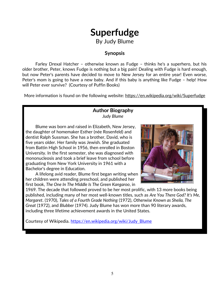By Judy Blume

### **Synopsis**

Farley Drexal Hatcher – otherwise known as Fudge – thinks he's a superhero, but his older brother, Peter, knows Fudge is nothing but a big pain! Dealing with Fudge is hard enough, but now Peter's parents have decided to move to New Jersey for an entire year! Even worse, Peter's mom is going to have a new baby. And if this baby is anything like Fudge – help! How will Peter ever survive? (Courtesy of Puffin Books)

More information is found on the following website: https://en.wikipedia.org/wiki/Superfudge

### **Author Biography** *Judy Blume*

Blume was born and raised in Elizabeth, New Jersey, the daughter of homemaker Esther (née Rosenfeld) and dentist Ralph Sussman. She has a brother, David, who is five years older. Her family was Jewish. She graduated from Battin High School in 1956, then enrolled in Boston University. In the first semester, she was diagnosed with mononucleosis and took a brief leave from school before graduating from New York University in 1961 with a Bachelor's degree in Education.

A lifelong avid reader, Blume first began writing when her children were attending preschool, and published her first book, *The One In The Middle Is The Green Kangaroo*, in



1969. The decade that followed proved to be her most prolific, with 13 more books being published, including many of her most well-known titles, such as *Are You There God? It's Me, Margaret*. (1970), *Tales of a Fourth Grade Nothing* (1972), *Otherwise Known as Sheila, The Great* (1972), and *Blubber* (1974). Judy Blume has won more than 90 literary awards, including three lifetime achievement awards in the United States.

Courtesy of Wikipedia. [https://en.wikipedia.org/wiki/Judy\\_Blume](https://en.wikipedia.org/wiki/Judy_Blume)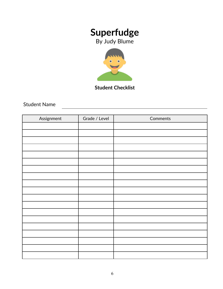By Judy Blume



**Student Checklist**

Student Name

| Assignment | Grade / Level | Comments |
|------------|---------------|----------|
|            |               |          |
|            |               |          |
|            |               |          |
|            |               |          |
|            |               |          |
|            |               |          |
|            |               |          |
|            |               |          |
|            |               |          |
|            |               |          |
|            |               |          |
|            |               |          |
|            |               |          |
|            |               |          |
|            |               |          |
|            |               |          |
|            |               |          |
|            |               |          |
|            |               |          |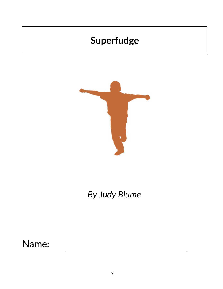

# *By Judy Blume*

Name: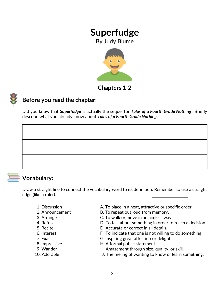By Judy Blume



**Chapters 1***-***2**



### **Before you read the chapter**:

Did you know that *Superfudge* is actually the sequel for *Tales of a Fourth Grade Nothing*? Briefly describe what you already know about *Tales of a Fourth Grade Nothing*.



### **Vocabulary:**

Draw a straight line to connect the vocabulary word to its definition. Remember to use a straight edge (like a ruler).

- 
- 
- 
- 
- 
- 
- 
- 
- 
- 1. Discussion **A. To place in a neat, attractive or specific order.**
- 2. Announcement B. To repeat out loud from memory.
- 3. Arrange C. To walk or move in an aimless way.
- 4. Refuse **EXACTE:** D. To talk about something in order to reach a decision.
- 5. Recite E. Accurate or correct in all details.
- 6. Interest F. To indicate that one is not willing to do something.
- 7. Exact G. Inspiring great affection or delight.
- 8. Impressive **H. A formal public statement.**
- 9. Wander **I. Amazement through size, quality, or skill.**
- 10. Adorable **I. The feeling of wanting to know or learn something.**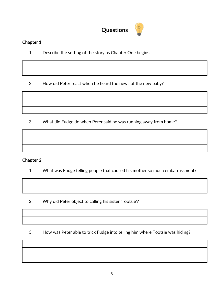

### **Chapter 1**

1. Describe the setting of the story as Chapter One begins.

2. How did Peter react when he heard the news of the new baby?

3. What did Fudge do when Peter said he was running away from home?

### **Chapter 2**

- 1. What was Fudge telling people that caused his mother so much embarrassment?
- 2. Why did Peter object to calling his sister 'Tootsie'?
- 3. How was Peter able to trick Fudge into telling him where Tootsie was hiding?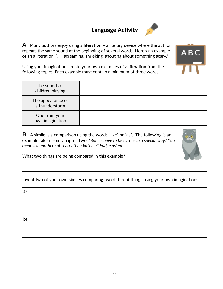# **Language Activity**



**A**. Many authors enjoy using **alliteration –** a literary device where the author repeats the same sound at the beginning of several words. Here's an example of an alliteration: ". . . **s**creaming, **s**hrieking, **s**houting about **s**omething **s**cary."



Using your imagination, create your own examples of **alliteration** from the following topics. Each example must contain a minimum of three words.

| The sounds of<br>children playing.   |  |
|--------------------------------------|--|
| The appearance of<br>a thunderstorm. |  |
| One from your<br>own imagination.    |  |

**B.** A **simile** is a comparison using the words "like" or "as". The following is an example taken from Chapter Two: *"Babies have to be carries in a special way? You mean like mother cats carry their kittens?" Fudge asked.*



What two things are being compared in this example?

Invent two of your own **similes** comparing two different things using your own imagination:

| 'a          |  |  |  |
|-------------|--|--|--|
|             |  |  |  |
|             |  |  |  |
|             |  |  |  |
| $\mathbf b$ |  |  |  |
|             |  |  |  |
|             |  |  |  |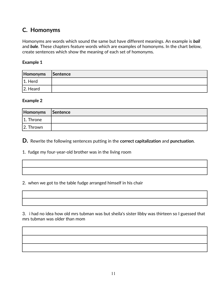### **C. Homonyms**

Homonyms are words which sound the same but have different meanings. An example is *bail* and *bale*. These chapters feature words which are examples of homonyms. In the chart below, create sentences which show the meaning of each set of homonyms.

#### **Example 1**

| Homonyms    | <b>Sentence</b> |
|-------------|-----------------|
| $ 1.$ Herd  |                 |
| $ 2.$ Heard |                 |

#### **Example 2**

| Homonyms Sentence |  |
|-------------------|--|
| $ 1.$ Throne      |  |
| 2. Thrown         |  |

**D.** Rewrite the following sentences putting in the **correct capitalization** and **punctuation**.

1. fudge my four-year-old brother was in the living room

2. when we got to the table fudge arranged himself in his chair

3. i had no idea how old mrs tubman was but sheila's sister libby was thirteen so I guessed that mrs tubman was older than mom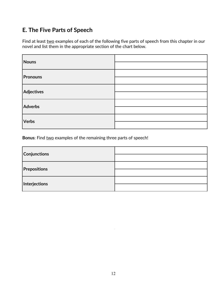### **E. The Five Parts of Speech**

Find at least two examples of each of the following five parts of speech from this chapter in our novel and list them in the appropriate section of the chart below.

| Nouns          |  |
|----------------|--|
|                |  |
| Pronouns       |  |
|                |  |
| Adjectives     |  |
|                |  |
| <b>Adverbs</b> |  |
|                |  |
| <b>Verbs</b>   |  |
|                |  |

**Bonus:** Find two examples of the remaining three parts of speech!

| Conjunctions        |  |
|---------------------|--|
|                     |  |
| <b>Prepositions</b> |  |
|                     |  |
| Interjections       |  |
|                     |  |